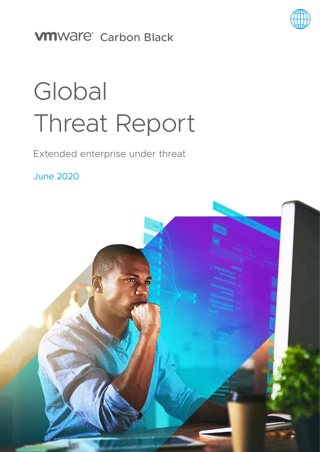

# **VMWare®** Carbon Black

# **Global** Threat Report

Extended enterprise under threat

June 2020

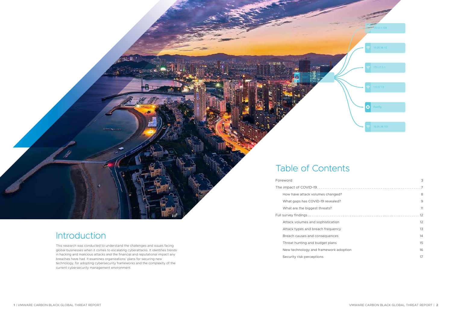|  | Foreword                              | 3                 |
|--|---------------------------------------|-------------------|
|  |                                       |                   |
|  | How have attack volumes changed?      | 8                 |
|  | What gaps has COVID-19 revealed?      | 9                 |
|  | What are the biggest threats?         | 11                |
|  |                                       |                   |
|  | Attack volumes and sophistication     | $12 \overline{ }$ |
|  | Attack types and breach frequency     | 13                |
|  | Breach causes and consequences        | 14                |
|  | Threat hunting and budget plans       | 15                |
|  | New technology and framework adoption | 16                |
|  | Security risk perceptions             | 17                |

# Table of Contents

# Introduction

This research was conducted to understand the challenges and issues facing global businesses when it comes to escalating cyberattacks. It identifies trends in hacking and malicious attacks and the financial and reputational impact any breaches have had. It examines organizations' plans for securing new technology, for adopting cybersecurity frameworks and the complexity of the current cybersecurity management environment.

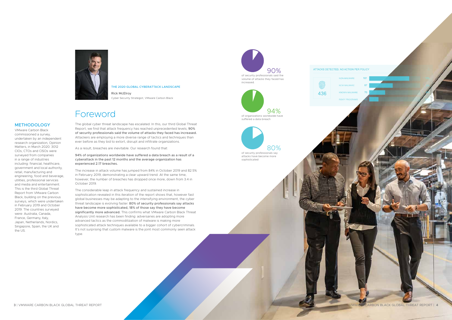

# Foreword

The global cyber threat landscape has escalated. In this, our third Global Threat Report, we find that attack frequency has reached unprecedented levels; 90% of security professionals said the volume of attacks they faced has increased. Attackers are employing a more diverse range of tactics and techniques than ever before as they bid to extort, disrupt and infiltrate organizations.

As a result, breaches are inevitable. Our research found that:

94% of organizations worldwide have suffered a data breach as a result of a cyberattack in the past 12 months and the average organization has experienced 2.17 breaches.

The increase in attack volume has jumped from 84% in October 2019 and 82.5% in February 2019, demonstrating a clear upward trend. At the same time, however, the number of breaches has dropped once more, down from 3.4 in October 2019.

The considerable leap in attack frequency and sustained increase in sophistication revealed in this iteration of the report shows that, however fast global businesses may be adapting to the intensifying environment, the cyber threat landscape is evolving faster. 80% of security professionals say attacks have become more sophisticated, 18% of those say they have become significantly more advanced. This confirms what VMware Carbon Black Threat Analysis Unit research has been finding: adversaries are adopting more advanced tactics as the commoditization of malware is making more sophisticated attack techniques available to a bigger cohort of cybercriminals. It's not surprising that custom malware is the joint most commonly seen attack type.

### methodology

VMware Carbon Black commissioned a survey, undertaken by an independent research organization, Opinion Matters, in March 2020. 3012 CIOs, CTOs and CISOs were surveyed from companies in a range of industries including: financial, healthcare, government and local authority, retail, manufacturing and engineering, food and beverage, utilities, professional services and media and entertainment. This is the third Global Threat Report from VMware Carbon Black, building on the previous surveys, which were undertaken in February 2019 and October 2019. The countries surveyed were: Australia, Canada, France, Germany, Italy, Japan, Netherlands, Nordics, Singapore, Spain, the UK and the US.



### THE 2020 GLOBAL CYBERATTACK LANDSCAPE

Rick McElroy Cyber Security Strategist, VMware Carbon Black

 90% of security professionals said the volume of attacks they faced has increased.



436



80%

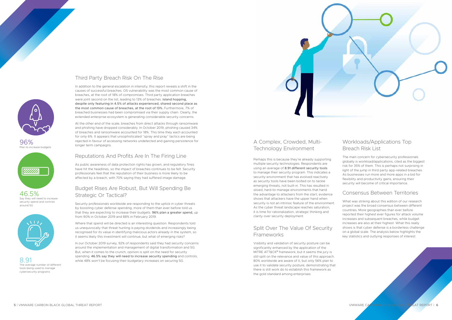



96% Plan to increase budgets



46.5% Say they will need to increase security spend and controls around 5G



8.91 The average number of different tools being used to manage cybersecurity programs

# Third Party Breach Risk On The Rise

In addition to the general escalation in intensity, this report reveals a shift in the causes of successful breaches. OS vulnerability was the most common cause of breaches, at the root of 18% of compromises. Third party application breaches were joint second on the list, leading to 13% of breaches. Island hopping, despite only featuring in 4.5% of attacks experienced, shared second place as the most common cause of breaches, at the root of 13%. Furthermore, 7% of breached businesses had been compromised via their supply chain. Clearly, the extended enterprise ecosystem is generating considerable security concerns.

At the other end of the scale, breaches from direct attacks through ransomware and phishing have dropped considerably. In October 2019, phishing caused 34% of breaches and ransomware accounted for 18%. This time they each accounted for only 6%. It appears that unsophisticated "spray and pray" tactics are being rejected in favour of accessing networks undetected and gaining persistence for longer term campaigns.

## Reputations And Profits Are In The Firing Line

As public awareness of data protection rights has grown, and regulatory fines have hit the headlines, so the impact of breaches continues to be felt. Security professionals feel that the reputation of their business is more likely to be affected by a breach, with 70% saying they had suffered image damage.

# Budget Rises Are Robust, But Will Spending Be Strategic Or Tactical?

# Split Over The Value Of Security **Frameworks**

Security professionals worldwide are responding to the uptick in cyber threats by boosting cyber defense spending, more of them than ever before told us that they are expecting to increase their budgets. 96% plan a greater spend, up from 90% in October 2019 and 88% in February 2019.

Where that spend will be directed is an interesting question. Respondents told us unequivocally that threat hunting is paying dividends and increasingly being recognised for its value in identifying malicious actors already in the system, so it seems likely this investment will continue, but what of emerging risks?

In our October 2019 survey, 92% of respondents said they had security concerns around the implementation and management of digital transformation and 5G. But, when it comes to the crunch, opinion is split on the need for security spending. 46.5% say they will need to increase security spending and controls, while 48% won't be focusing their budgetary increases on securing 5G.

# A Complex, Crowded, Multi-Technology Environment

Perhaps this is because they're already supporting multiple security technologies. Respondents are using an average of 8.91 different security tools to manage their security program. This indicates a security environment that has evolved reactively as security tools have been bolted on to tackle emerging threats, not built-in. This has resulted in siloed, hard-to-manage environments that hand the advantage to attackers from the start; evidence shows that attackers have the upper hand when security is not an intrinsic feature of the environment. As the cyber threat landscape reaches saturation, it is time for rationalization, strategic thinking and clarity over security deployment.

Visibility and validation of security posture can be significantly enhanced by the application of the MITRE ATT&CK® framework, but it seems the jury is still split on the relevance and value of this approach. 80% worldwide are aware of it, but only 56% plan to use it to validate security posture, demonstrating that there is still work do to establish this framework as the gold standard among enterprises.

# Workloads/Applications Top Breach Risk List

The main concern for cybersecurity professionals globally is workload/applications, cited as the biggest risk for 35% of them. This is perhaps not surprising in light of the jump in third party app-related breaches. As businesses run more and more apps in a bid for flexibility and productivity gains, ensuring their security will become of critical importance.

### Consensus Between Territories

What was striking about this edition of our research project was the broad consensus between different countries. More geographies than ever before reported their highest ever figures for attack volume increases and subsequent breaches, while budget increases are also at their highest. What this really shows is that cyber defense is a borderless challenge on a global scale. The analysis below highlights the key statistics and outlying responses of interest.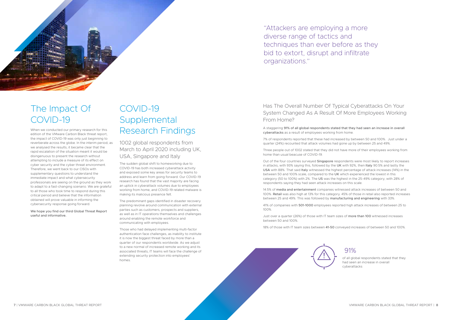

# The Impact Of COVID-19

When we conducted our primary research for this edition of the VMware Carbon Black threat report, the impact of COVID-19 was only just beginning to reverberate across the globe. In the interim period, as we analysed the results, it became clear that the rapid escalation of the situation meant it would be disingenuous to present the research without attempting to include a measure of its effect on cyber security and the cyber threat environment. Therefore, we went back to our CISOs with supplementary questions to understand the immediate impact and what cybersecurity professionals are seeing on the ground as they work to adapt to a fast-changing scenario. We are grateful to all those who took time to respond during this critical period and believe that the information obtained will prove valuable in informing the cybersecurity response going forward.

We hope you find our third Global Threat Report useful and informative.

# COVID-19 **Supplemental** Research Findings

1002 global respondents from March to April 2020 including UK, USA, Singapore and Italy

The sudden global shift to homeworking due to COVID-19 has both increased cyberattack activity and exposed some key areas for security teams to address and learn from going forward. Our COVID-19 research has found that the vast majority are facing an uptick in cyberattack volumes due to employees working from home, and COVID-19 related malware is making its malicious presence felt.

Out of the four countries surveyed Singapore respondents were most likely to report increases in attacks, with 93% saying this, followed by the UK with 92%, then Italy 90.5% and lastly the USA with 88%. That said Italy witnessed the highest percentage of attack increases (14%) in the between 50 and 100% scale, compared to the UK which experienced the lowest in this category (50 to 100%) with 2%. The US was the highest in the 25-49% category, with 28% of respondents saying they had seen attack increases on this scale.

The predominant gaps identified in disaster recovery planning revolve around communication with external parties such as customers, prospects and suppliers, as well as in IT operations themselves and challenges around enabling the remote workforce and communicating with employees.

Those who had delayed implementing multi-factor authentication face challenges, as inability to institute it is now the biggest threat faced by more than a quarter of our respondents worldwide. As we adjust to a new normal of increased remote working and its associated threats, IT teams will face the challenge of extending security protection into employees' homes.

# Has The Overall Number Of Typical Cyberattacks On Your System Changed As A Result Of More Employees Working From Home?

A staggering 91% of all global respondents stated that they had seen an increase in overall cyberattacks as a result of employees working from home.

7% of respondents reported that these had increased by between 50 and 100%. Just under a quarter (24%) recounted that attack volumes had gone up by between 25 and 49%.

Three people out of 1002 stated that they did not have more of their employees working from home than usual beacuse of COVID-19.

14.5% of media and entertainment companies witnessed attack increases of between 50 and 100%. Retail was also high at 13% for this category. 45% of those in retail also reported increases between 25 and 49%. This was followed by manufacturing and engineering with 33%.

41% of companies with 501-1000 employees reported high attack increases of between 25 to 100%.

Just over a quarter (26%) of those with IT team sizes of more than 100 witnessed increases between 50 and 100%.

18% of those with IT team sizes between 41-50 conveyed increases of between 50 and 100%.

# 91%

of all global respondents stated that they had seen an increase in overall cyberattacks

"Attackers are employing a more diverse range of tactics and techniques than ever before as they bid to extort, disrupt and infiltrate organizations."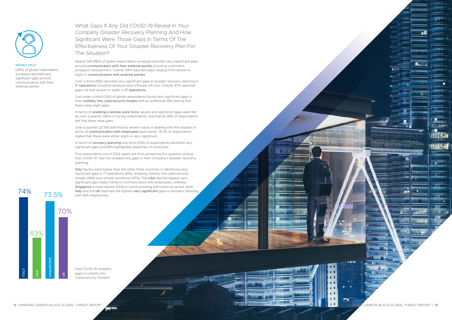**9** | VMware Carbon Black Global Threat Report VMware Carbon Black Global Threat Report | **10**

**TELE** 

**Different** 

**TITAL** 

WA CI

What Gaps If Any Did COVID-19 Reveal In Your Company Disaster Recovery Planning And How Significant Were Those Gaps In Terms Of The Effectiveness Of Your Disaster Recovery Plan For The Situation?

Nearly half (48%) of global respondents surveyed reported very significant gaps around communication with their external parties including customers, prospects and partners. Overall, 84% reported gaps ranging from severe to slight in communication with external parties.

In terms of enabling a remote work force, severe and significant gaps were felt by over a quarter (28%) of survey respondents, and overall, 85% of respondents felt that there were gaps.

Over a third (35%) reported very significant gaps in disaster recovery planning in IT operations including hardware and software roll outs. Overall, 87% reported gaps, be that severe or slight, in IT operations.

In terms of recovery planning one third (33%) of respondents identified very significant gaps and 88% highlighted disparities of some kind.

Just under a third (32%) of global respondents found very significant gaps in their visibility into cybersecurity threats with an additional 38% stating that there were slight gaps.

Italy figures were higher than the other three countries in identifying very significant gaps in IT operations (41%), enabling visibility into cybersecurity threats (38%) and remote workforce (37%). The USA had the highest very significant gap impact (30%) in communication with employees, whereas Singapore scored highest (52%) in communicating with external parties. Both Italy and the UK reported the highest very significant gaps in recovery planning with 36% respectively.

Over a quarter (27.5%) admitted to severe cracks in dealing with the situation in terms of communication with employees and overall, 78.2% of respondents stated that these were either slight or very significant.

Five respondents out of 1002 opted out from answering this question stating that COVID-19 had not revealed any gaps in their company's disaster recovery planning.



### nearly half

(48%) of global respondents surveyed reported very significant gaps around communication with their external parties



Had COVID-19 revealed gaps in visibility into Cybersecurity threats?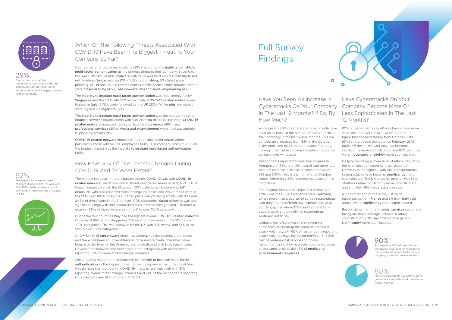Have You Seen An Increase In Cyberattacks On Your Company Company Become More Or In The Last 12 Months? If So, By How Much?

٥

A staggering 90% of organizations worldwide have seen an increase in the number of cyberattacks on their company in the last twelve months. This is a considerable increase from 84% in the October 2019 report and 82.5% in the previous February, making it the highest increase in attack frequency we have ever witnessed.

Respondents reported an average increase in frequency of 63%, and 45% overall said there had been an increase in attack volumes of between 51% and 300% - this is a jump from the October report where only 34% reported increases of this magnitude.

The majority of countries reported increases in attack volumes. The exceptions were Germany, where more than a quarter of survey respondents said they hadn't suffered any cyberattacks at all, and Singapore, where 17% hadn't suffered any cyberattacks and one fifth of respondents preferred not to say.

Despite reporting a lower level of attack frequency, the sophistication faced by organizations in Germany is the highest, with 41% of respondents saying attacks have become significantly more sophisticated. The UK is not far behind, with 39% of attacks rated significantly more sophisticated and a further 46% moderately more so.

At the other end of the scale, just 1% of respondents from France and 5% from Italy said attacks were significantly more sophisticated.

Respondents from the financial services sector are facing an above average increase in attack sophistication – 31% say attacks have grown significantly more sophisticated.



Globally, manufacturing and engineering companies are bearing the brunt of increased attack volumes, with 60% of respondents reporting attack volumes have increased between 51-300%. Half of professional services company respondents said they had seen volume increases at the same level, as did 49% of media and entertainment companies.



# Have Cyberattacks On Your Less Sophisticated In The Last 12 Months?

80% of respondents say attacks have grown more sophisticated over the last twelve months – a figure that has held steady from October 2019 (81%) and dropped slightly since February 2019 (86%). Of these, 18% said they had become significantly more sophisticated, and 62% said they were moderately or slightly more sophisticated.



29% Over a quarter of global respondents (29%) recounted the inability to institute multi-factor authentication as the biggest threat to their company.

# Which Of The Following Threats Associated With COVID-19 Have Been The Biggest Threat To Your Company So Far?

# Full Survey **Findings**

Over a quarter of global respondents (29%) recounted the inability to institute multi-factor authentication as the biggest threat to their company. Second to this was COVID-19 related malware with 15.5% and third was the inability to roll out timely software patches (13%). 10% cited phishing, 6% stated spear phishing, IoT exposure and remote access inefficiencies. Other notable threats were masquerading (4.5%), ransomware (4%) and social engineering (4%).

The inability to institute multi-factor authentication was most keenly felt by Singapore and the USA with 32% respectively. COVID-19 related malware was highest in Italy (21%) closely followed by the UK (20%). While phishing emails were highest in Singapore (12%).

The inability to institute multi-factor authentication was the biggest threat for financial services organizations with 50% claiming this to be the case. COVID-19 related malware impacted heavily on food and beverage (49%), and professional services (30%). Media and entertainment were most susceptible to phishing emails (29%).

COVID-19 related malware impacted more on small sized organisations, particularly those with 50-250 employees (43%). For company sizes of 251-500 the biggest impact was the inability to institute multi-factor authentication (46%).

## How Have Any Of The Threats Changed During COVID-19 And To What Extent?

The highest increase in threat changes during COVID-19 was with COVID-19 related malware, which saw overall threat change increases of 92%, and 53% of these increases were in the 51 to over 100% categories. Second was IoT exposure, with 89% reported threat change increases and 21% of these were in the 51 to over 100% categories. In third place was phishing emails with 89% and 24.5% of these were in the 51 to over 100% categories. Spear phishing was also significantly high with 88% overall increases in threat changes and just under a quarter (23%) of these were also in the 51 to over 100% category.

Out of the four countries Italy had the highest overall COVID-19 related malware increase of 96% with a staggering 70% reporting increases in the 51% to over 100% categories. This was followed by the UK with 93% overall and 54% in the 51% to over 100% categories.

A new family of ransomware known as Coronavirus has recently been found and there has been an upward trend in ransomware. Sadly, there has never been a better time for the threat actors to create and distribute ransomware. However, ransomware was lower than other categories with respondents reporting 67% in overall threat change increases.

29% of global respondents recounted the inability to institute multi-factor authentication as the biggest threat to their company so far. In terms of how threats have changed during COVID-19, this was relatively high with 87% reporting overall threat change increases and 24% of the respondents reporting increases between 51 and more than 100%.

### 92%

The highest increase in threat changes during COVID-19 was with COVID-19 related malware, which saw overall threat change increases of 92%,



# 90%

A staggering 90% of organizations worldwide have seen an increase in the number of cyberattacks on their company in the last twelve months.

# 80%

80% of respondents say attacks have grown more sophisticated over the last twelve months.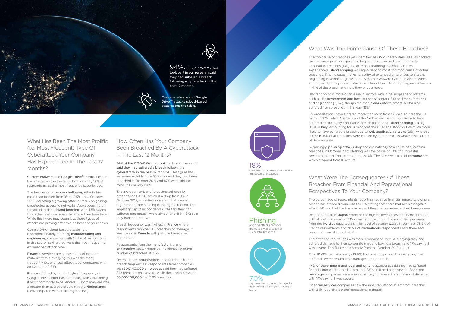

What Has Been The Most Prolific (i.e. Most Frequent) Type Of Cyberattack Your Company Has Experienced In The Last 12 Months?

Custom malware and Google Drive™ attacks (cloudbased attacks) top the table, both cited by 18% of respondents as the most frequently experienced.

The frequency of **process hollowing** attacks has more than trebled from 3% to 9.5% since October 2019, indicating a growing attacker focus on gaining undetected access to networks. Also appearing on the attack radar is island hopping, with 4.5% saying this is the most common attack type they have faced. While this figure may seem low, these types of attacks are proving effective, as later analysis shows.

Google Drive (cloud-based attacks) are disproportionately affecting manufacturing and engineering companies, with 34.5% of respondents in this sector saying they were the most frequently experienced attack type.

Financial services are at the mercy of custom malware with 45% saying this was the most frequently experienced attack type (compared with an average of 18%).

France suffered by far the highest frequency of Google Drive (cloud-based attacks) with 71% naming it most commonly experienced. Custom malware was a greater than average problem in the Netherlands (28% compared with an average or 18%)

# How Often Has Your Company Been Breached By A Cyberattack In The Last 12 Months?

94% of the CISO/CIOs that took part in our research said they had suffered a breach following a cyberattack in the past 12 months. This figure has increased notably from 88% who said they had been breached in October 2019 and 87% who said the same in February 2019.

The average number of breaches suffered by organizations is 2.17, which is a drop from 3.4 in October 2019, a positive indication that, overall, organizations are heading in the right direction. The largest group of respondents (51%) said they had suffered one breach, while almost one fifth (18%) said they had suffered two.

Breach frequency was highest in France where respondents reported 3.7 breaches on average. It was lowest in Canada with just one breach per organization.

Respondents from the manufacturing and engineering sector reported the highest average number of breaches at 2.56.

Overall, larger organizations tend to report higher breach frequencies. Respondents from companies with 5001-10,000 employees said they had suffered 3.12 breaches on average, while those with between 50,001-100,000 had 3.83 breaches.



94% of the CISO/CIOs that took part in our research said they had suffered a breach following a cyberattack in the past 12 months.

> 44% of Government and local authority respondents said they had suffered financial impact due to a breach and 18% said it had been severe. Food and beverage companies were also more likely to have suffered financial damage, with 14% saying it was severe.

# What Was The Prime Cause Of These Breaches?

The top cause of breaches was identified as OS vulnerabilities (18%) as hackers take advantage of poor patching hygiene. Joint second was third party application breaches (13%). Despite only featuring in 4.5% of attacks experienced, island hopping was equal second most common cause of actual breaches. This indicates the vulnerability of extended enterprises to attacks originating in vendor organizations. Separate VMware Carbon Black research among incident response professionals found that island hopping was a feature in 41% of the breach attempts they encountered.

Island hopping is more of an issue in sectors with large supplier ecosystems, such as the government and local authority sector (18%) and manufacturing and engineering (15%), though the media and entertainment sector also suffered from breaches in this way (18%).

US organizations have suffered more than most from OS-related breaches, a factor in 27%, while Australia and the Netherlands were more likely to have suffered a third-party application breach (both 18%). Island hopping is a big issue in Italy, accounting for 26% of breaches. Canada stood out as much more likely to have suffered a breach due to web application attacks (21%), whereas in Spain 35% of all breaches were caused by either process weaknesses or out of date security.

Surprisingly, phishing attacks dropped dramatically as a cause of successful breaches. In October 2019 phishing was the cause of 34% of successful breaches, but this has dropped to just 6%. The same was true of ransomware, which dropped from 18% to 6%.

# What Were The Consequences Of These Breaches From Financial And Reputational Perspectives To Your Company?

The percentage of respondents reporting negative financial impact following a breach has dropped from 44% to 30% stating that there had been a negative effect. 9% said that the financial impact they had experienced had been severe.

Respondents from Japan reported the highest level of severe financial impact, with almost one quarter (24%) saying this had been the result. Respondents from the Nordics reported a similar level of severity (22%). In contrast, 78.5% of French respondents and 70.5% of Netherlands respondents said there had been no financial impact at all.

The effect on reputations was more pronounced, with 70% saying they had suffered damage to their corporate image following a breach and 17% saying it was severe. This figure held steady from the October 2019 report.

The UK (31%) and Germany (33.5%) had most respondents saying they had suffered severe reputational damage after a breach.

Financial services companies saw the most reputation effect from breaches, with 34% reporting severe reputational damage.

18% identified OS vulnerabilities as the top cause of breaches



### Phishing phishing attacks dropped dramatically as a cause of

successful breaches.



say they had suffered damage to their corporate image following a breach

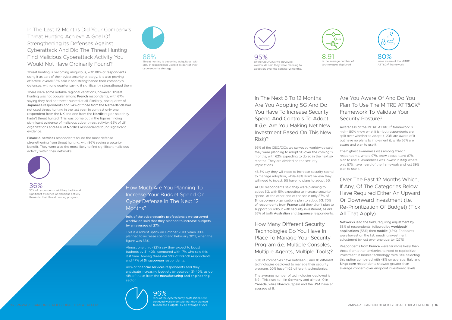How Much Are You Planning To Increase Your Budget Spend On Cyber Defense In The Next 12 Months?

96% of the cybersecurity professionals we surveyed worldwide said that they planned to increase budgets, by an average of 27%.

This is a robust uptick on October 2019, when 90% planned to increase spend and February 2019, when the figure was 88%.

Almost one third (32%) say they expect to boost budgets by 31-40%, compared with 17% who said this last time. Among these are 59% of French respondents and 47% of Singaporean respondents.

40% of financial services respondents said they anticipate increasing budgets by between 31-40%, as do 41% of those from the manufacturing and engineering sector.



# In The Last 12 Months Did Your Company's Threat Hunting Achieve A Goal Of Strengthening Its Defenses Against Cyberattack And Did The Threat Hunting Find Malicious Cyberattack Activity You Would Not Have Ordinarily Found?

95%<br>of the CISO/CIOs we surveyed worldwide said they were planning to 8.91

Threat hunting is becoming ubiquitous, with 88% of respondents using it as part of their cybersecurity strategy. It is also proving effective; overall 86% said it had strengthened their company's defenses, with one quarter saying it significantly strengthened them.

80%<br>were aware of the MITR ATT&CK® framework

There were some notable regional variations, however. Threat hunting was not popular among French respondents, with 67% saying they had not threat-hunted at all. Similarly, one quarter of Japanese respondents and 24% of those from the Netherlands had not used threat hunting in the last year. In contrast only one respondent from the UK and one from the Nordic region said they hadn't threat hunted. This was borne out in the figures finding significant evidence of malicious cyber threat activity: 65% of UK organizations and 44% of Nordics respondents found significant evidence.

Financial services respondents found the most defense strengthening from threat hunting, with 96% seeing a security benefit. They were also the most likely to find significant malicious activity within their networks.



adopt 5G over the coming 12 months,





In The Next 6 To 12 Months Are You Adopting 5G And Do You Have To Increase Security Spend And Controls To Adopt It *(i.e. Are You Making Net New* Investment Based On This New Risk)?

95% of the CISO/CIOs we surveyed worldwide said they were planning to adopt 5G over the coming 12 months, with 62% expecting to do so in the next six months. They are divided on the security implications.

46.5% say they will need to increase security spend to manage adoption, while 48% don't believe they will need to invest. 5% have no plans to adopt 5G.

All UK respondents said they were planning to adopt 5G, with 51% expecting to increase security spend. At the other end of the scale only 87% of Singaporean organizations plan to adopt 5G. 70% of respondents from France said they didn't plan to support 5G rollout with security investment, as did 55% of both Australian and Japanese respondents.

# How Many Different Security Technologies Do You Have In Place To Manage Your Security Program (i.e. Multiple Consoles, Multiple Agents, Multiple Tools)?

68% of companies have between 5 and 10 different technologies deployed to manage their security program. 20% have 11-25 different technologies.

The average number of technologies deployed is 8.91. This rises to 11 in Germany and almost 10 in Canada, while Nordics, Spain and the USA have an average of 9.



# Are You Aware Of And Do You Plan To Use The MITRE ATT&CK® Framework To Validate Your Security Posture?

Awareness of the MITRE ATT&CK® framework is high– 80% know what it is - but respondents are split over whether to adopt it. 23% are aware of it but have no plans to implement it, while 56% are aware and plan to use it.

The highest awareness was among French respondents, where 97% know about it and 87% plan to use it. Awareness was lowest in Italy where only 57% have heard of the framework and just 39% plan to use it.

Over The Past 12 Months Which, If Any, Of The Categories Below Have Required Either An Upward Or Downward Investment (i.e. Re-Prioritization Of Budget) (Tick All That Apply)

Networks lead the field, requiring adjustment by 58% of respondents, followed by workload/ applications (55%) then mobile (48%). Endpoints were lowest on the list, needing investment adjustment by just over one quarter (27%)

Respondents from France were far more likely than those from other territories to need to reprioritize investment in mobile technology, with 84% selecting this option compared with 48% on average. Italy and Singapore respondents showed greater than average concern over endpoint investment levels.

96% 96% of the cybersecurity professionals we surveyed worldwide said that they planned to increase budgets, by an average of 27%.

88%

Threat hunting is becoming ubiquitous, with 88% of respondents using it as part of their

cybersecurity strategy

36% 36% of respondents said they had found significant evidence of malicious activity thanks to their threat hunting program.